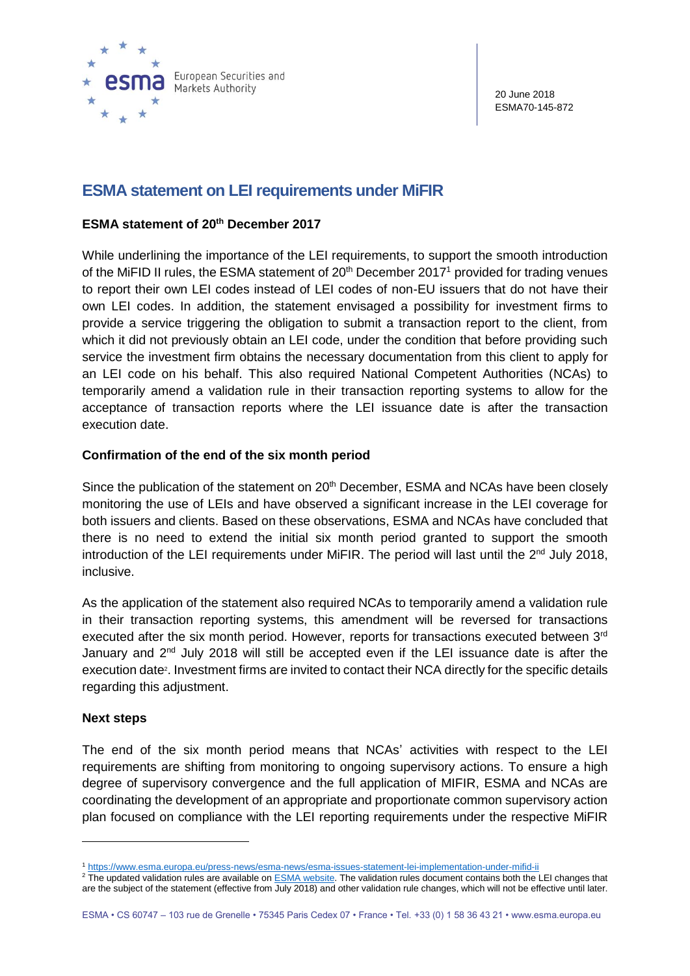

20 June 2018 ESMA70-145-872

# **ESMA statement on LEI requirements under MiFIR**

## **ESMA statement of 20th December 2017**

While underlining the importance of the LEI requirements, to support the smooth introduction of the MiFID II rules, the ESMA statement of  $20<sup>th</sup>$  December 2017<sup>1</sup> provided for trading venues to report their own LEI codes instead of LEI codes of non-EU issuers that do not have their own LEI codes. In addition, the statement envisaged a possibility for investment firms to provide a service triggering the obligation to submit a transaction report to the client, from which it did not previously obtain an LEI code, under the condition that before providing such service the investment firm obtains the necessary documentation from this client to apply for an LEI code on his behalf. This also required National Competent Authorities (NCAs) to temporarily amend a validation rule in their transaction reporting systems to allow for the acceptance of transaction reports where the LEI issuance date is after the transaction execution date.

### **Confirmation of the end of the six month period**

Since the publication of the statement on  $20<sup>th</sup>$  December, ESMA and NCAs have been closely monitoring the use of LEIs and have observed a significant increase in the LEI coverage for both issuers and clients. Based on these observations, ESMA and NCAs have concluded that there is no need to extend the initial six month period granted to support the smooth introduction of the LEI requirements under MiFIR. The period will last until the  $2<sup>nd</sup>$  July 2018, inclusive.

As the application of the statement also required NCAs to temporarily amend a validation rule in their transaction reporting systems, this amendment will be reversed for transactions executed after the six month period. However, reports for transactions executed between 3rd January and  $2<sup>nd</sup>$  July 2018 will still be accepted even if the LEI issuance date is after the execution date<sup>2</sup>. Investment firms are invited to contact their NCA directly for the specific details regarding this adjustment.

#### **Next steps**

 $\overline{a}$ 

The end of the six month period means that NCAs' activities with respect to the LEI requirements are shifting from monitoring to ongoing supervisory actions. To ensure a high degree of supervisory convergence and the full application of MIFIR, ESMA and NCAs are coordinating the development of an appropriate and proportionate common supervisory action plan focused on compliance with the LEI reporting requirements under the respective MiFIR

<sup>1</sup> <https://www.esma.europa.eu/press-news/esma-news/esma-issues-statement-lei-implementation-under-mifid-ii>

<sup>&</sup>lt;sup>2</sup> The updated validation rules are available on **ESMA** website. The validation rules document contains both the LEI changes that are the subject of the statement (effective from July 2018) and other validation rule changes, which will not be effective until later.